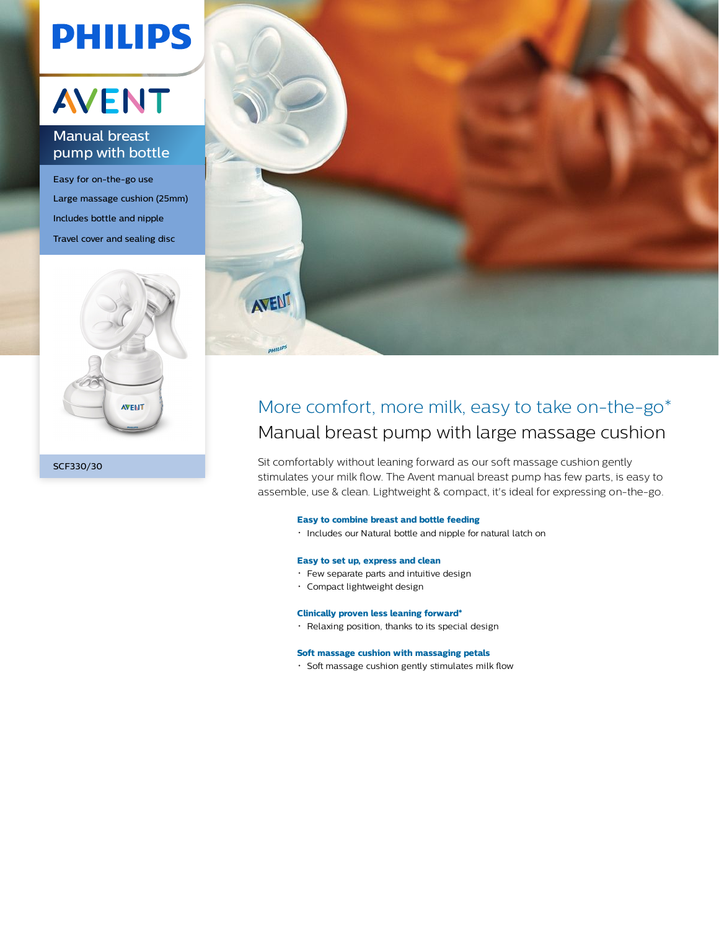# **PHILIPS**

## **AVENT**

### Manual breast pump with bottle

Easy for on-the-go use Large massage cushion (25mm) Includes bottle and nipple Travel cover and sealing disc





### More comfort, more milk, easy to take on-the-go\* Manual breast pump with large massage cushion

Sit comfortably without leaning forward as our soft massage cushion gently stimulates your milk flow. The Avent manual breast pump has few parts, is easy to assemble, use & clean. Lightweight & compact, it's ideal for expressing on-the-go.

#### **Easy to combine breast and bottle feeding**

Includes our Natural bottle and nipple for natural latch on

#### **Easy to set up, express and clean**

- Few separate parts and intuitive design
- Compact lightweight design

#### **Clinically proven less leaning forward\***

Relaxing position, thanks to its special design

#### **Soft massage cushion with massaging petals**

Soft massage cushion gently stimulates milk flow